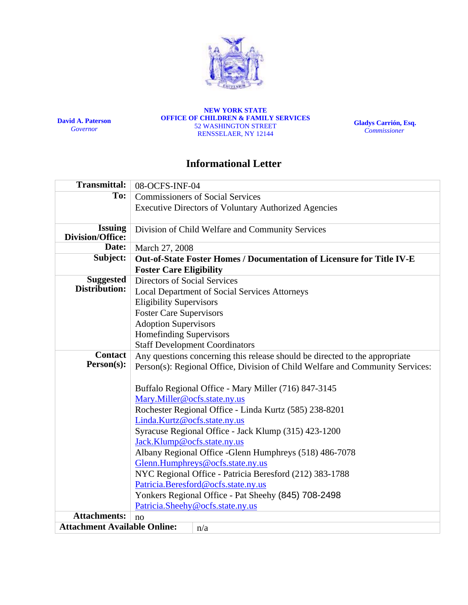

**David A. Paterson**  *Governor*

**NEW YORK STATE OFFICE OF CHILDREN & FAMILY SERVICES**  52 WASHINGTON STREET RENSSELAER, NY 12144

**Gladys Carrión, Esq.**   *Commissioner*

# **Informational Letter**

| <b>Transmittal:</b>                        | 08-OCFS-INF-04                                                                |
|--------------------------------------------|-------------------------------------------------------------------------------|
| To:                                        | <b>Commissioners of Social Services</b>                                       |
|                                            | <b>Executive Directors of Voluntary Authorized Agencies</b>                   |
| <b>Issuing</b><br>Division/Office:         | Division of Child Welfare and Community Services                              |
| Date:                                      | March 27, 2008                                                                |
| Subject:                                   | Out-of-State Foster Homes / Documentation of Licensure for Title IV-E         |
|                                            | <b>Foster Care Eligibility</b>                                                |
| <b>Suggested</b>                           | <b>Directors of Social Services</b>                                           |
| Distribution:                              | <b>Local Department of Social Services Attorneys</b>                          |
|                                            | <b>Eligibility Supervisors</b>                                                |
|                                            | <b>Foster Care Supervisors</b>                                                |
|                                            | <b>Adoption Supervisors</b>                                                   |
|                                            | Homefinding Supervisors                                                       |
|                                            | <b>Staff Development Coordinators</b>                                         |
| <b>Contact</b>                             | Any questions concerning this release should be directed to the appropriate   |
| Person(s):                                 | Person(s): Regional Office, Division of Child Welfare and Community Services: |
|                                            |                                                                               |
|                                            | Buffalo Regional Office - Mary Miller (716) 847-3145                          |
|                                            | Mary.Miller@ocfs.state.ny.us                                                  |
|                                            | Rochester Regional Office - Linda Kurtz (585) 238-8201                        |
|                                            | Linda.Kurtz@ocfs.state.ny.us                                                  |
|                                            | Syracuse Regional Office - Jack Klump (315) 423-1200                          |
|                                            | Jack.Klump@ocfs.state.ny.us                                                   |
|                                            | Albany Regional Office - Glenn Humphreys (518) 486-7078                       |
|                                            | Glenn.Humphreys@ocfs.state.ny.us                                              |
|                                            | NYC Regional Office - Patricia Beresford (212) 383-1788                       |
|                                            | Patricia.Beresford@ocfs.state.ny.us                                           |
|                                            | Yonkers Regional Office - Pat Sheehy (845) 708-2498                           |
|                                            | Patricia.Sheehy@ocfs.state.ny.us                                              |
| <b>Attachments:</b><br>no                  |                                                                               |
| <b>Attachment Available Online:</b><br>n/a |                                                                               |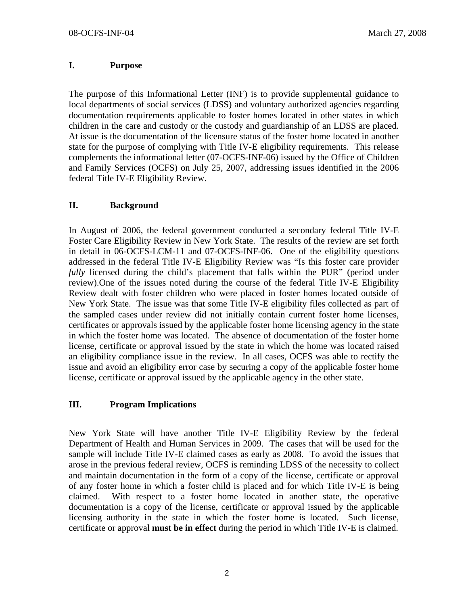### **I. Purpose**

The purpose of this Informational Letter (INF) is to provide supplemental guidance to local departments of social services (LDSS) and voluntary authorized agencies regarding documentation requirements applicable to foster homes located in other states in which children in the care and custody or the custody and guardianship of an LDSS are placed. At issue is the documentation of the licensure status of the foster home located in another state for the purpose of complying with Title IV-E eligibility requirements. This release complements the informational letter (07-OCFS-INF-06) issued by the Office of Children and Family Services (OCFS) on July 25, 2007, addressing issues identified in the 2006 federal Title IV-E Eligibility Review.

### **II. Background**

In August of 2006, the federal government conducted a secondary federal Title IV-E Foster Care Eligibility Review in New York State. The results of the review are set forth in detail in 06-OCFS-LCM-11 and 07-OCFS-INF-06. One of the eligibility questions addressed in the federal Title IV-E Eligibility Review was "Is this foster care provider *fully* licensed during the child's placement that falls within the PUR" (period under review).One of the issues noted during the course of the federal Title IV-E Eligibility Review dealt with foster children who were placed in foster homes located outside of New York State. The issue was that some Title IV-E eligibility files collected as part of the sampled cases under review did not initially contain current foster home licenses, certificates or approvals issued by the applicable foster home licensing agency in the state in which the foster home was located. The absence of documentation of the foster home license, certificate or approval issued by the state in which the home was located raised an eligibility compliance issue in the review. In all cases, OCFS was able to rectify the issue and avoid an eligibility error case by securing a copy of the applicable foster home license, certificate or approval issued by the applicable agency in the other state.

#### **III. Program Implications**

New York State will have another Title IV-E Eligibility Review by the federal Department of Health and Human Services in 2009. The cases that will be used for the sample will include Title IV-E claimed cases as early as 2008. To avoid the issues that arose in the previous federal review, OCFS is reminding LDSS of the necessity to collect and maintain documentation in the form of a copy of the license, certificate or approval of any foster home in which a foster child is placed and for which Title IV-E is being claimed. With respect to a foster home located in another state, the operative documentation is a copy of the license, certificate or approval issued by the applicable licensing authority in the state in which the foster home is located. Such license, certificate or approval **must be in effect** during the period in which Title IV-E is claimed.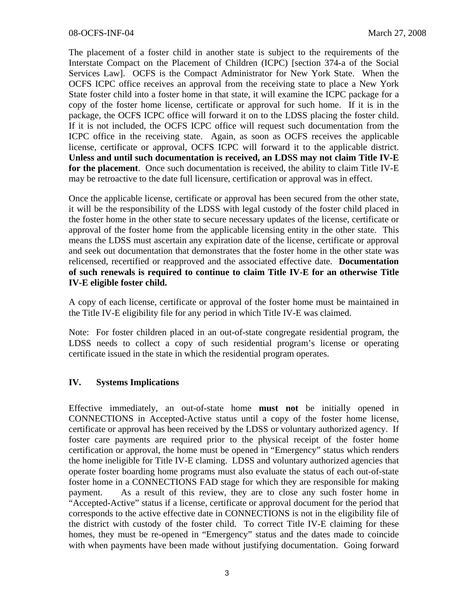The placement of a foster child in another state is subject to the requirements of the Interstate Compact on the Placement of Children (ICPC) [section 374-a of the Social Services Law]. OCFS is the Compact Administrator for New York State. When the OCFS ICPC office receives an approval from the receiving state to place a New York State foster child into a foster home in that state, it will examine the ICPC package for a copy of the foster home license, certificate or approval for such home. If it is in the package, the OCFS ICPC office will forward it on to the LDSS placing the foster child. If it is not included, the OCFS ICPC office will request such documentation from the ICPC office in the receiving state. Again, as soon as OCFS receives the applicable license, certificate or approval, OCFS ICPC will forward it to the applicable district. **Unless and until such documentation is received, an LDSS may not claim Title IV-E for the placement**. Once such documentation is received, the ability to claim Title IV-E may be retroactive to the date full licensure, certification or approval was in effect.

Once the applicable license, certificate or approval has been secured from the other state, it will be the responsibility of the LDSS with legal custody of the foster child placed in the foster home in the other state to secure necessary updates of the license, certificate or approval of the foster home from the applicable licensing entity in the other state. This means the LDSS must ascertain any expiration date of the license, certificate or approval and seek out documentation that demonstrates that the foster home in the other state was relicensed, recertified or reapproved and the associated effective date. **Documentation of such renewals is required to continue to claim Title IV-E for an otherwise Title IV-E eligible foster child.**

A copy of each license, certificate or approval of the foster home must be maintained in the Title IV-E eligibility file for any period in which Title IV-E was claimed.

Note: For foster children placed in an out-of-state congregate residential program, the LDSS needs to collect a copy of such residential program's license or operating certificate issued in the state in which the residential program operates.

## **IV. Systems Implications**

Effective immediately, an out-of-state home **must not** be initially opened in CONNECTIONS in Accepted-Active status until a copy of the foster home license, certificate or approval has been received by the LDSS or voluntary authorized agency. If foster care payments are required prior to the physical receipt of the foster home certification or approval, the home must be opened in "Emergency" status which renders the home ineligible for Title IV-E claming. LDSS and voluntary authorized agencies that operate foster boarding home programs must also evaluate the status of each out-of-state foster home in a CONNECTIONS FAD stage for which they are responsible for making payment. As a result of this review, they are to close any such foster home in "Accepted-Active" status if a license, certificate or approval document for the period that corresponds to the active effective date in CONNECTIONS is not in the eligibility file of the district with custody of the foster child. To correct Title IV-E claiming for these homes, they must be re-opened in "Emergency" status and the dates made to coincide with when payments have been made without justifying documentation. Going forward